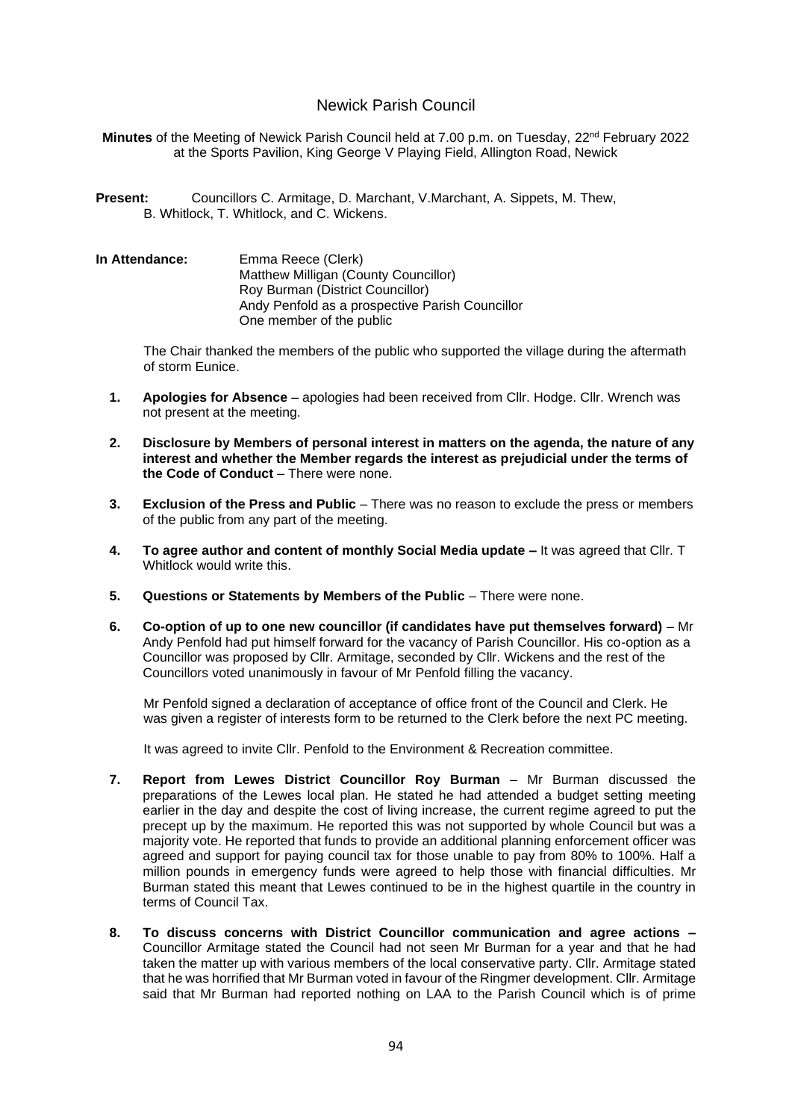# Newick Parish Council

**Minutes** of the Meeting of Newick Parish Council held at 7.00 p.m. on Tuesday, 22<sup>nd</sup> February 2022 at the Sports Pavilion, King George V Playing Field, Allington Road, Newick

- **Present:** Councillors C. Armitage, D. Marchant, V.Marchant, A. Sippets, M. Thew, B. Whitlock, T. Whitlock, and C. Wickens.
- **In Attendance:** Emma Reece (Clerk) Matthew Milligan (County Councillor) Roy Burman (District Councillor) Andy Penfold as a prospective Parish Councillor One member of the public

The Chair thanked the members of the public who supported the village during the aftermath of storm Eunice.

- **1. Apologies for Absence** apologies had been received from Cllr. Hodge. Cllr. Wrench was not present at the meeting.
- **2. Disclosure by Members of personal interest in matters on the agenda, the nature of any interest and whether the Member regards the interest as prejudicial under the terms of the Code of Conduct** – There were none.
- **3. Exclusion of the Press and Public** There was no reason to exclude the press or members of the public from any part of the meeting.
- **4. To agree author and content of monthly Social Media update –** It was agreed that Cllr. T Whitlock would write this.
- **5. Questions or Statements by Members of the Public** There were none.
- **6. Co-option of up to one new councillor (if candidates have put themselves forward)** Mr Andy Penfold had put himself forward for the vacancy of Parish Councillor. His co-option as a Councillor was proposed by Cllr. Armitage, seconded by Cllr. Wickens and the rest of the Councillors voted unanimously in favour of Mr Penfold filling the vacancy.

Mr Penfold signed a declaration of acceptance of office front of the Council and Clerk. He was given a register of interests form to be returned to the Clerk before the next PC meeting.

It was agreed to invite Cllr. Penfold to the Environment & Recreation committee.

- **7. Report from Lewes District Councillor Roy Burman** Mr Burman discussed the preparations of the Lewes local plan. He stated he had attended a budget setting meeting earlier in the day and despite the cost of living increase, the current regime agreed to put the precept up by the maximum. He reported this was not supported by whole Council but was a majority vote. He reported that funds to provide an additional planning enforcement officer was agreed and support for paying council tax for those unable to pay from 80% to 100%. Half a million pounds in emergency funds were agreed to help those with financial difficulties. Mr Burman stated this meant that Lewes continued to be in the highest quartile in the country in terms of Council Tax.
- **8. To discuss concerns with District Councillor communication and agree actions –** Councillor Armitage stated the Council had not seen Mr Burman for a year and that he had taken the matter up with various members of the local conservative party. Cllr. Armitage stated that he was horrified that Mr Burman voted in favour of the Ringmer development. Cllr. Armitage said that Mr Burman had reported nothing on LAA to the Parish Council which is of prime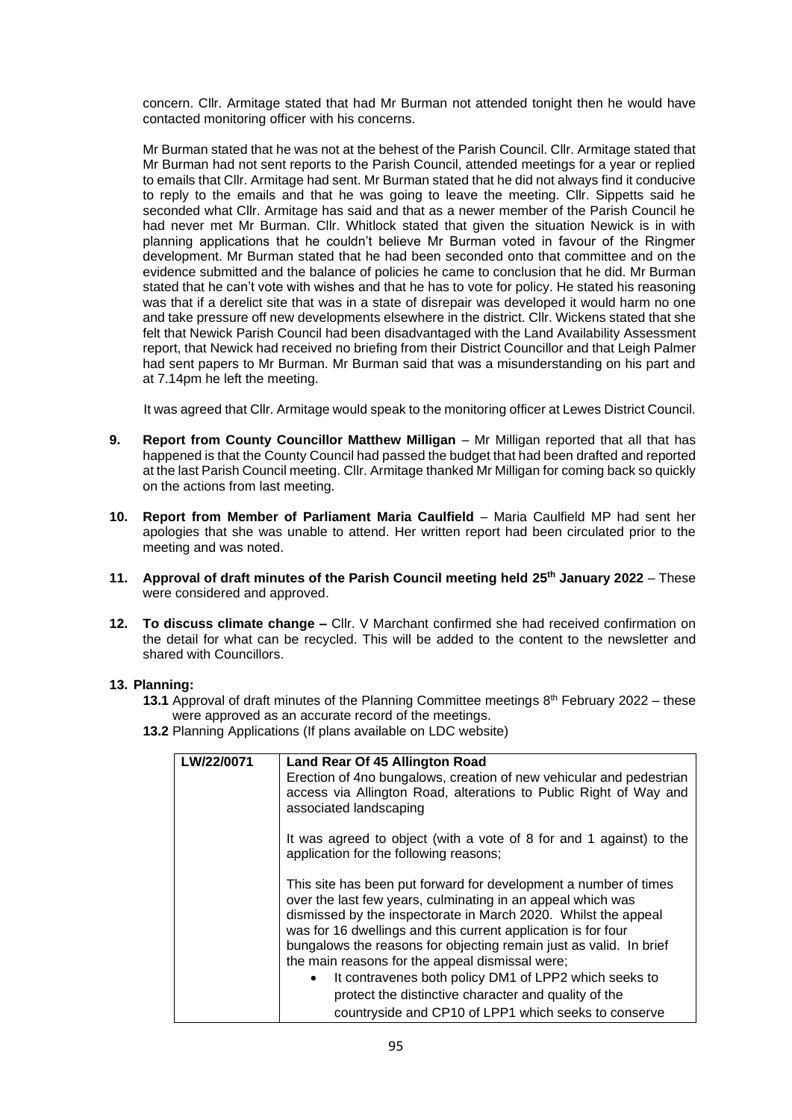concern. Cllr. Armitage stated that had Mr Burman not attended tonight then he would have contacted monitoring officer with his concerns.

Mr Burman stated that he was not at the behest of the Parish Council. Cllr. Armitage stated that Mr Burman had not sent reports to the Parish Council, attended meetings for a year or replied to emails that Cllr. Armitage had sent. Mr Burman stated that he did not always find it conducive to reply to the emails and that he was going to leave the meeting. Cllr. Sippetts said he seconded what Cllr. Armitage has said and that as a newer member of the Parish Council he had never met Mr Burman. Cllr. Whitlock stated that given the situation Newick is in with planning applications that he couldn't believe Mr Burman voted in favour of the Ringmer development. Mr Burman stated that he had been seconded onto that committee and on the evidence submitted and the balance of policies he came to conclusion that he did. Mr Burman stated that he can't vote with wishes and that he has to vote for policy. He stated his reasoning was that if a derelict site that was in a state of disrepair was developed it would harm no one and take pressure off new developments elsewhere in the district. Cllr. Wickens stated that she felt that Newick Parish Council had been disadvantaged with the Land Availability Assessment report, that Newick had received no briefing from their District Councillor and that Leigh Palmer had sent papers to Mr Burman. Mr Burman said that was a misunderstanding on his part and at 7.14pm he left the meeting.

It was agreed that Cllr. Armitage would speak to the monitoring officer at Lewes District Council.

- **9. Report from County Councillor Matthew Milligan** Mr Milligan reported that all that has happened is that the County Council had passed the budget that had been drafted and reported at the last Parish Council meeting. Cllr. Armitage thanked Mr Milligan for coming back so quickly on the actions from last meeting.
- **10. Report from Member of Parliament Maria Caulfield**  Maria Caulfield MP had sent her apologies that she was unable to attend. Her written report had been circulated prior to the meeting and was noted.
- **11. Approval of draft minutes of the Parish Council meeting held 25th January 2022**  These were considered and approved.
- **12. To discuss climate change –** Cllr. V Marchant confirmed she had received confirmation on the detail for what can be recycled. This will be added to the content to the newsletter and shared with Councillors.

## **13. Planning:**

- **13.1** Approval of draft minutes of the Planning Committee meetings 8<sup>th</sup> February 2022 these were approved as an accurate record of the meetings.
- **13.2** Planning Applications (If plans available on LDC website)

| <b>LW/22/0071</b> | Land Rear Of 45 Allington Road                                                                                                                                                                                                                                                                                                                                                              |  |  |  |  |  |
|-------------------|---------------------------------------------------------------------------------------------------------------------------------------------------------------------------------------------------------------------------------------------------------------------------------------------------------------------------------------------------------------------------------------------|--|--|--|--|--|
|                   | Erection of 4no bungalows, creation of new vehicular and pedestrian                                                                                                                                                                                                                                                                                                                         |  |  |  |  |  |
|                   | access via Allington Road, alterations to Public Right of Way and<br>associated landscaping                                                                                                                                                                                                                                                                                                 |  |  |  |  |  |
|                   | It was agreed to object (with a vote of 8 for and 1 against) to the<br>application for the following reasons;                                                                                                                                                                                                                                                                               |  |  |  |  |  |
|                   | This site has been put forward for development a number of times<br>over the last few years, culminating in an appeal which was<br>dismissed by the inspectorate in March 2020. Whilst the appeal<br>was for 16 dwellings and this current application is for four<br>bungalows the reasons for objecting remain just as valid. In brief<br>the main reasons for the appeal dismissal were; |  |  |  |  |  |
|                   | It contravenes both policy DM1 of LPP2 which seeks to                                                                                                                                                                                                                                                                                                                                       |  |  |  |  |  |
|                   | protect the distinctive character and quality of the                                                                                                                                                                                                                                                                                                                                        |  |  |  |  |  |
|                   | countryside and CP10 of LPP1 which seeks to conserve                                                                                                                                                                                                                                                                                                                                        |  |  |  |  |  |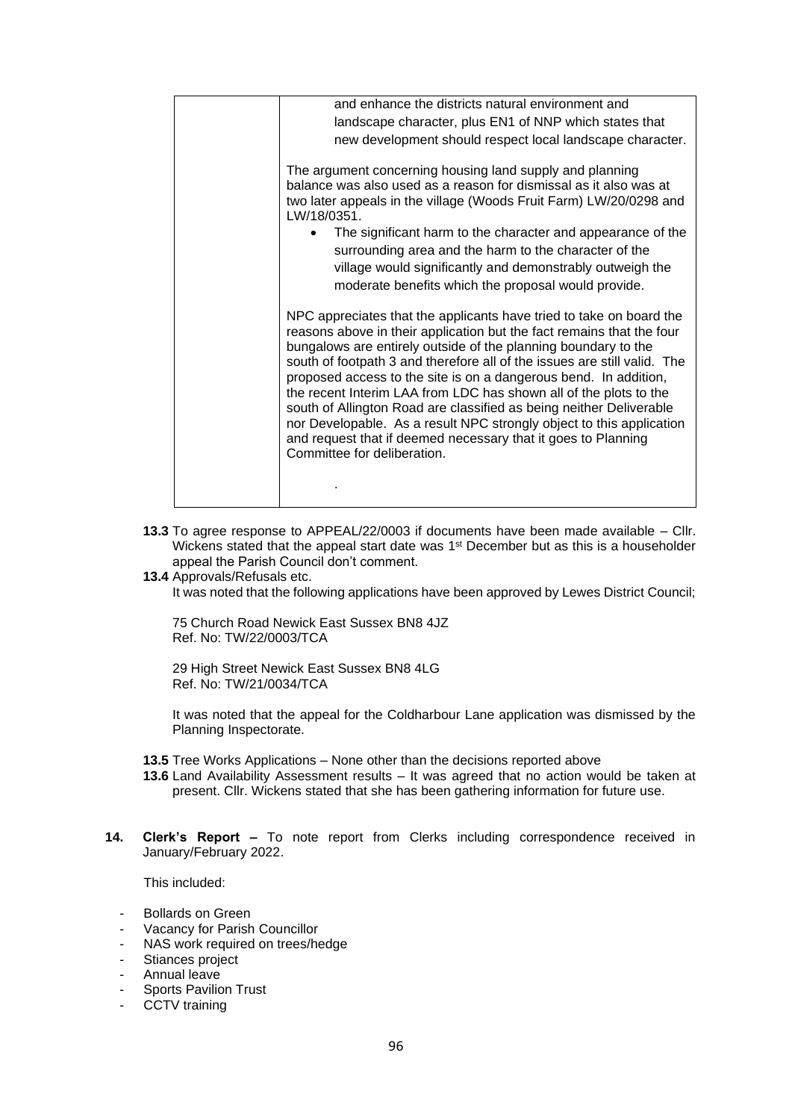|  | and enhance the districts natural environment and                                                                                                                                                                                                                                                                                                                                                                                                                                                                                                                                                                                                                                  |  |  |  |  |  |
|--|------------------------------------------------------------------------------------------------------------------------------------------------------------------------------------------------------------------------------------------------------------------------------------------------------------------------------------------------------------------------------------------------------------------------------------------------------------------------------------------------------------------------------------------------------------------------------------------------------------------------------------------------------------------------------------|--|--|--|--|--|
|  | landscape character, plus EN1 of NNP which states that                                                                                                                                                                                                                                                                                                                                                                                                                                                                                                                                                                                                                             |  |  |  |  |  |
|  | new development should respect local landscape character.                                                                                                                                                                                                                                                                                                                                                                                                                                                                                                                                                                                                                          |  |  |  |  |  |
|  | The argument concerning housing land supply and planning<br>balance was also used as a reason for dismissal as it also was at<br>two later appeals in the village (Woods Fruit Farm) LW/20/0298 and<br>LW/18/0351.<br>The significant harm to the character and appearance of the<br>surrounding area and the harm to the character of the<br>village would significantly and demonstrably outweigh the<br>moderate benefits which the proposal would provide.                                                                                                                                                                                                                     |  |  |  |  |  |
|  | NPC appreciates that the applicants have tried to take on board the<br>reasons above in their application but the fact remains that the four<br>bungalows are entirely outside of the planning boundary to the<br>south of footpath 3 and therefore all of the issues are still valid. The<br>proposed access to the site is on a dangerous bend. In addition,<br>the recent Interim LAA from LDC has shown all of the plots to the<br>south of Allington Road are classified as being neither Deliverable<br>nor Developable. As a result NPC strongly object to this application<br>and request that if deemed necessary that it goes to Planning<br>Committee for deliberation. |  |  |  |  |  |
|  |                                                                                                                                                                                                                                                                                                                                                                                                                                                                                                                                                                                                                                                                                    |  |  |  |  |  |

- **13.3** To agree response to APPEAL/22/0003 if documents have been made available Cllr. Wickens stated that the appeal start date was  $1<sup>st</sup>$  December but as this is a householder appeal the Parish Council don't comment.
- **13.4** Approvals/Refusals etc.

It was noted that the following applications have been approved by Lewes District Council;

75 Church Road Newick East Sussex BN8 4JZ Ref. No: TW/22/0003/TCA

29 High Street Newick East Sussex BN8 4LG Ref. No: TW/21/0034/TCA

It was noted that the appeal for the Coldharbour Lane application was dismissed by the Planning Inspectorate.

- **13.5** Tree Works Applications None other than the decisions reported above
- **13.6** Land Availability Assessment results It was agreed that no action would be taken at present. Cllr. Wickens stated that she has been gathering information for future use.
- **14. Clerk's Report –** To note report from Clerks including correspondence received in January/February 2022.

This included:

- Bollards on Green
- Vacancy for Parish Councillor
- NAS work required on trees/hedge
- Stiances project
- Annual leave
- Sports Pavilion Trust
- CCTV training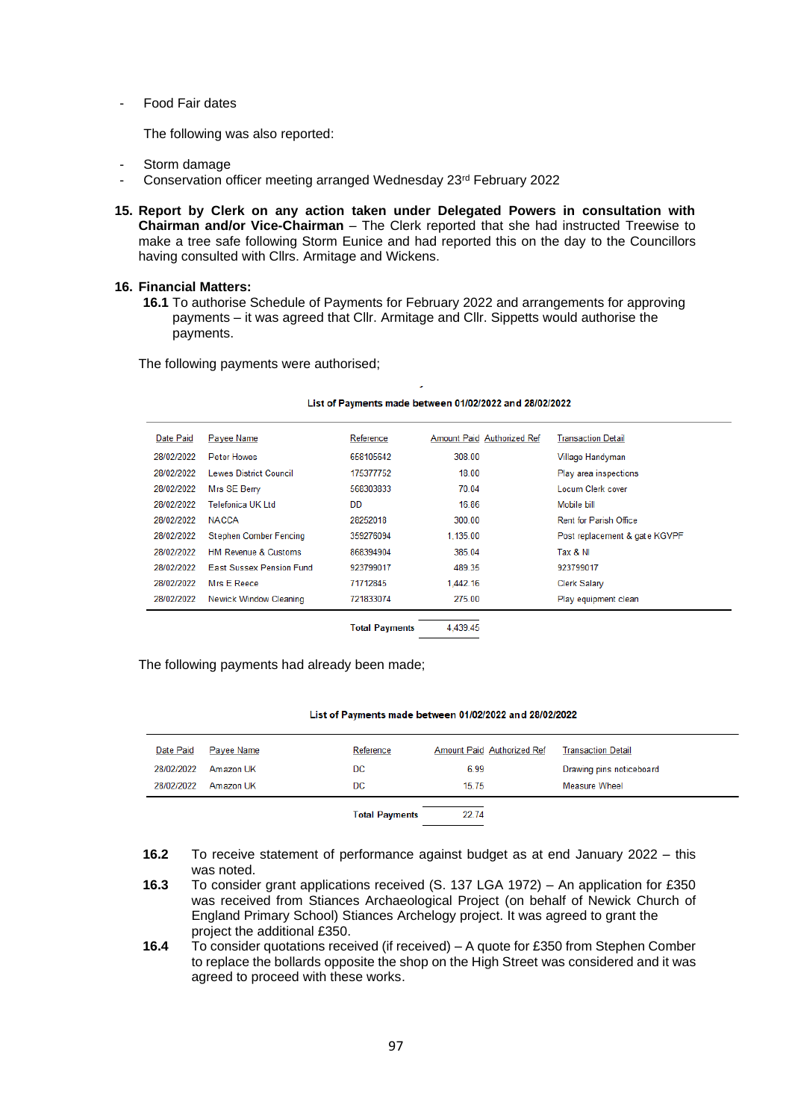Food Fair dates

The following was also reported:

- Storm damage
- Conservation officer meeting arranged Wednesday 23rd February 2022
- **15. Report by Clerk on any action taken under Delegated Powers in consultation with Chairman and/or Vice-Chairman** – The Clerk reported that she had instructed Treewise to make a tree safe following Storm Eunice and had reported this on the day to the Councillors having consulted with Cllrs. Armitage and Wickens.

### **16. Financial Matters:**

**16.1** To authorise Schedule of Payments for February 2022 and arrangements for approving payments – it was agreed that Cllr. Armitage and Cllr. Sippetts would authorise the payments.

The following payments were authorised;

#### List of Payments made between 01/02/2022 and 28/02/2022

| Date Paid  | Payee Name                      | Reference | Amount Paid Authorized Ref | <b>Transaction Detail</b>     |
|------------|---------------------------------|-----------|----------------------------|-------------------------------|
| 28/02/2022 | Peter Howes                     | 658105642 | 308 00                     | Village Handyman              |
| 28/02/2022 | <b>Lewes District Council</b>   | 175377752 | 18.00                      | Play area inspections         |
| 28/02/2022 | Mrs SE Berry                    | 568303833 | 70.04                      | Locum Clerk cover             |
| 28/02/2022 | Telefonica UK I td.             | <b>DD</b> | 16.86                      | Mobile bill                   |
| 28/02/2022 | <b>NACCA</b>                    | 28252018  | 300.00                     | <b>Rent for Parish Office</b> |
| 28/02/2022 | Stephen Comber Fencing          | 359276094 | 1.135.00                   | Post replacement & gate KGVPF |
| 28/02/2022 | <b>HM Revenue &amp; Customs</b> | 868394904 | 385.04                     | Tax & NI                      |
| 28/02/2022 | <b>East Sussex Pension Fund</b> | 923799017 | 489.35                     | 923799017                     |
| 28/02/2022 | Mrs E Reece                     | 71712845  | 1.442.16                   | <b>Clerk Salary</b>           |
| 28/02/2022 | Newick Window Cleaning          | 721833074 | 275.00                     | Play equipment clean          |
|            |                                 |           |                            |                               |

**Total Payments** 4,439.45

The following payments had already been made;

#### List of Payments made between 01/02/2022 and 28/02/2022

| Date Paid  | Payee Name | Reference | Amount Paid Authorized Ref | <b>Transaction Detail</b> |
|------------|------------|-----------|----------------------------|---------------------------|
| 28/02/2022 | Amazon UK  | DC        | 6.99                       | Drawing pins noticeboard  |
| 28/02/2022 | Amazon UK  | DC        | 15.75                      | Measure Wheel             |
|            |            |           |                            |                           |

22.74 **Total Payments** 

- **16.2** To receive statement of performance against budget as at end January 2022 this was noted.
- **16.3** To consider grant applications received (S. 137 LGA 1972) An application for £350 was received from Stiances Archaeological Project (on behalf of Newick Church of England Primary School) Stiances Archelogy project. It was agreed to grant the project the additional £350.
- **16.4** To consider quotations received (if received) A quote for £350 from Stephen Comber to replace the bollards opposite the shop on the High Street was considered and it was agreed to proceed with these works.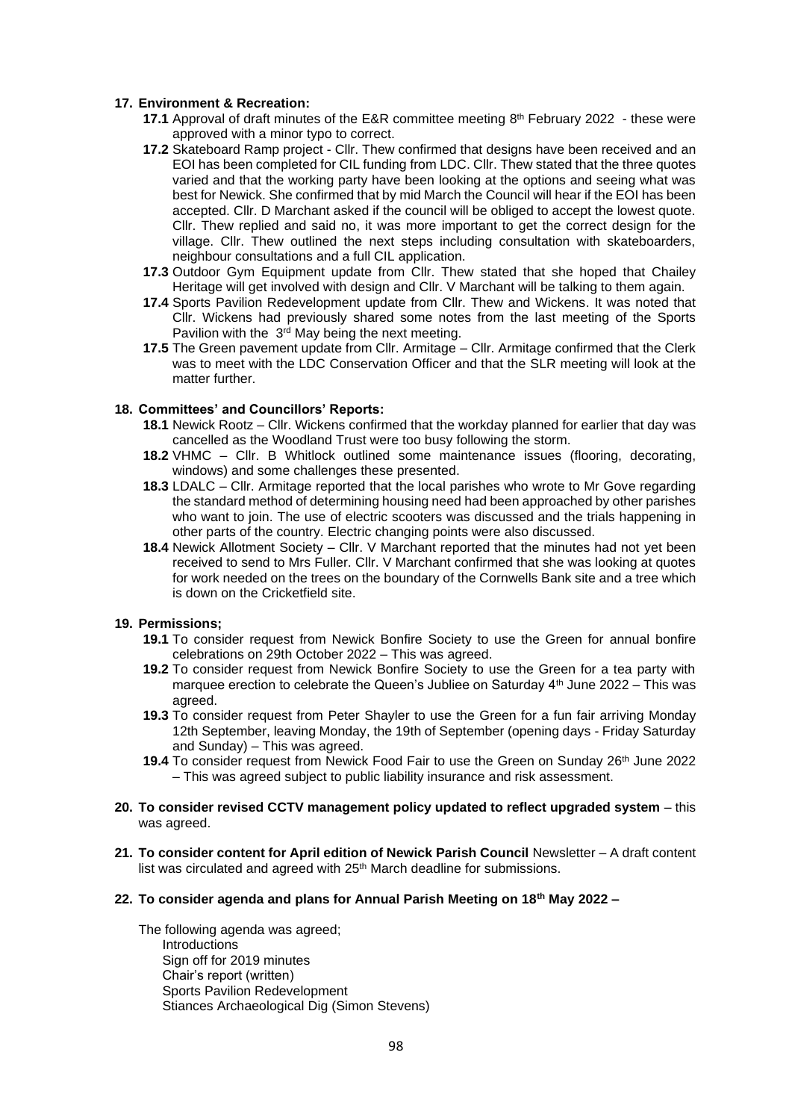### **17. Environment & Recreation:**

- **17.1** Approval of draft minutes of the E&R committee meeting 8<sup>th</sup> February 2022 these were approved with a minor typo to correct.
- **17.2** Skateboard Ramp project Cllr. Thew confirmed that designs have been received and an EOI has been completed for CIL funding from LDC. Cllr. Thew stated that the three quotes varied and that the working party have been looking at the options and seeing what was best for Newick. She confirmed that by mid March the Council will hear if the EOI has been accepted. Cllr. D Marchant asked if the council will be obliged to accept the lowest quote. Cllr. Thew replied and said no, it was more important to get the correct design for the village. Cllr. Thew outlined the next steps including consultation with skateboarders, neighbour consultations and a full CIL application.
- **17.3** Outdoor Gym Equipment update from Cllr. Thew stated that she hoped that Chailey Heritage will get involved with design and Cllr. V Marchant will be talking to them again.
- **17.4** Sports Pavilion Redevelopment update from Cllr. Thew and Wickens. It was noted that Cllr. Wickens had previously shared some notes from the last meeting of the Sports Pavilion with the 3<sup>rd</sup> May being the next meeting.
- **17.5** The Green pavement update from Cllr. Armitage Cllr. Armitage confirmed that the Clerk was to meet with the LDC Conservation Officer and that the SLR meeting will look at the matter further.

### **18. Committees' and Councillors' Reports:**

- **18.1** Newick Rootz Cllr. Wickens confirmed that the workday planned for earlier that day was cancelled as the Woodland Trust were too busy following the storm.
- **18.2** VHMC Cllr. B Whitlock outlined some maintenance issues (flooring, decorating, windows) and some challenges these presented.
- **18.3** LDALC Cllr. Armitage reported that the local parishes who wrote to Mr Gove regarding the standard method of determining housing need had been approached by other parishes who want to join. The use of electric scooters was discussed and the trials happening in other parts of the country. Electric changing points were also discussed.
- **18.4** Newick Allotment Society Cllr. V Marchant reported that the minutes had not yet been received to send to Mrs Fuller. Cllr. V Marchant confirmed that she was looking at quotes for work needed on the trees on the boundary of the Cornwells Bank site and a tree which is down on the Cricketfield site.

### **19. Permissions;**

- **19.1** To consider request from Newick Bonfire Society to use the Green for annual bonfire celebrations on 29th October 2022 – This was agreed.
- **19.2** To consider request from Newick Bonfire Society to use the Green for a tea party with marquee erection to celebrate the Queen's Jubliee on Saturday  $4<sup>th</sup>$  June 2022 – This was agreed.
- **19.3** To consider request from Peter Shayler to use the Green for a fun fair arriving Monday 12th September, leaving Monday, the 19th of September (opening days - Friday Saturday and Sunday) – This was agreed.
- **19.4** To consider request from Newick Food Fair to use the Green on Sunday 26<sup>th</sup> June 2022 – This was agreed subject to public liability insurance and risk assessment.
- **20. To consider revised CCTV management policy updated to reflect upgraded system** this was agreed.
- **21. To consider content for April edition of Newick Parish Council** Newsletter A draft content list was circulated and agreed with 25<sup>th</sup> March deadline for submissions.
- **22. To consider agenda and plans for Annual Parish Meeting on 18th May 2022 –**

The following agenda was agreed; **Introductions** Sign off for 2019 minutes Chair's report (written) Sports Pavilion Redevelopment Stiances Archaeological Dig (Simon Stevens)